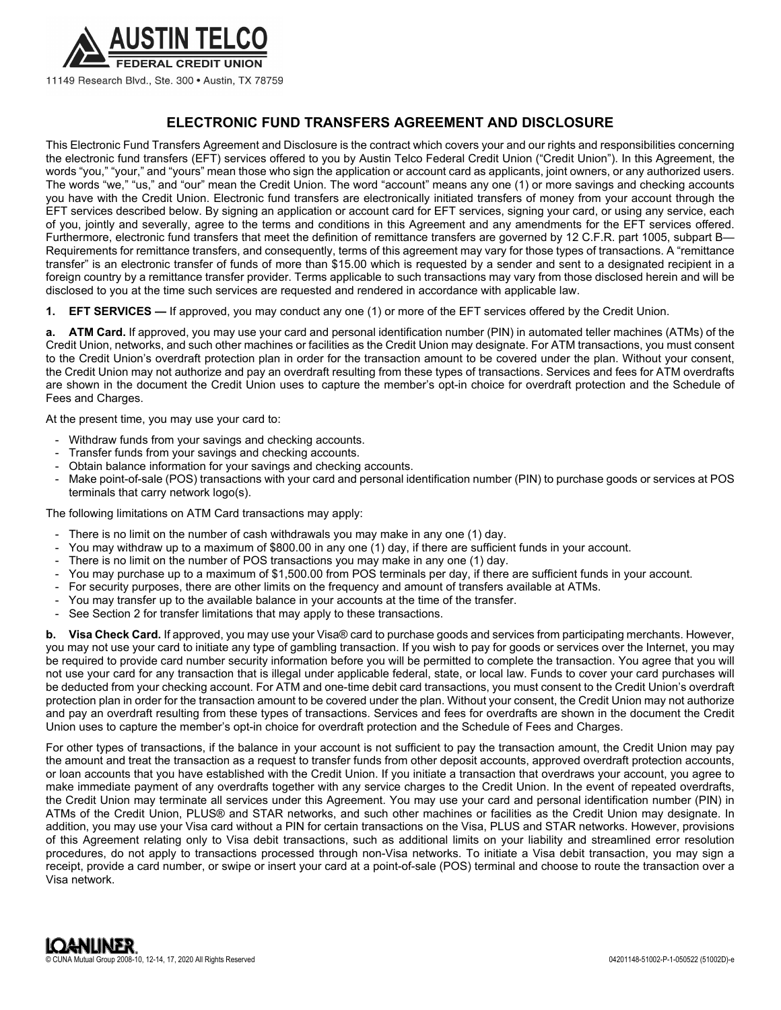

11149 Research Blvd., Ste. 300 · Austin, TX 78759

# **ELECTRONIC FUND TRANSFERS AGREEMENT AND DISCLOSURE**

This Electronic Fund Transfers Agreement and Disclosure is the contract which covers your and our rights and responsibilities concerning the electronic fund transfers (EFT) services offered to you by Austin Telco Federal Credit Union ("Credit Union"). In this Agreement, the words "you," "your," and "yours" mean those who sign the application or account card as applicants, joint owners, or any authorized users. The words "we," "us," and "our" mean the Credit Union. The word "account" means any one (1) or more savings and checking accounts you have with the Credit Union. Electronic fund transfers are electronically initiated transfers of money from your account through the EFT services described below. By signing an application or account card for EFT services, signing your card, or using any service, each of you, jointly and severally, agree to the terms and conditions in this Agreement and any amendments for the EFT services offered. Furthermore, electronic fund transfers that meet the definition of remittance transfers are governed by 12 C.F.R. part 1005, subpart B— Requirements for remittance transfers, and consequently, terms of this agreement may vary for those types of transactions. A "remittance transfer" is an electronic transfer of funds of more than \$15.00 which is requested by a sender and sent to a designated recipient in a foreign country by a remittance transfer provider. Terms applicable to such transactions may vary from those disclosed herein and will be disclosed to you at the time such services are requested and rendered in accordance with applicable law.

**1. EFT SERVICES —** If approved, you may conduct any one (1) or more of the EFT services offered by the Credit Union.

**a. ATM Card.** If approved, you may use your card and personal identification number (PIN) in automated teller machines (ATMs) of the Credit Union, networks, and such other machines or facilities as the Credit Union may designate. For ATM transactions, you must consent to the Credit Union's overdraft protection plan in order for the transaction amount to be covered under the plan. Without your consent, the Credit Union may not authorize and pay an overdraft resulting from these types of transactions. Services and fees for ATM overdrafts are shown in the document the Credit Union uses to capture the member's opt-in choice for overdraft protection and the Schedule of Fees and Charges.

At the present time, you may use your card to:

- Withdraw funds from your savings and checking accounts.
- Transfer funds from your savings and checking accounts.
- Obtain balance information for your savings and checking accounts.
- Make point-of-sale (POS) transactions with your card and personal identification number (PIN) to purchase goods or services at POS terminals that carry network logo(s).

The following limitations on ATM Card transactions may apply:

- There is no limit on the number of cash withdrawals you may make in any one (1) day.
- You may withdraw up to a maximum of \$800.00 in any one (1) day, if there are sufficient funds in your account.
- There is no limit on the number of POS transactions you may make in any one (1) day.
- You may purchase up to a maximum of \$1,500.00 from POS terminals per day, if there are sufficient funds in your account.
- For security purposes, there are other limits on the frequency and amount of transfers available at ATMs.
- You may transfer up to the available balance in your accounts at the time of the transfer.
- See Section 2 for transfer limitations that may apply to these transactions.

**b. Visa Check Card.** If approved, you may use your Visa® card to purchase goods and services from participating merchants. However, you may not use your card to initiate any type of gambling transaction. If you wish to pay for goods or services over the Internet, you may be required to provide card number security information before you will be permitted to complete the transaction. You agree that you will not use your card for any transaction that is illegal under applicable federal, state, or local law. Funds to cover your card purchases will be deducted from your checking account. For ATM and one-time debit card transactions, you must consent to the Credit Union's overdraft protection plan in order for the transaction amount to be covered under the plan. Without your consent, the Credit Union may not authorize and pay an overdraft resulting from these types of transactions. Services and fees for overdrafts are shown in the document the Credit Union uses to capture the member's opt-in choice for overdraft protection and the Schedule of Fees and Charges.

For other types of transactions, if the balance in your account is not sufficient to pay the transaction amount, the Credit Union may pay the amount and treat the transaction as a request to transfer funds from other deposit accounts, approved overdraft protection accounts, or loan accounts that you have established with the Credit Union. If you initiate a transaction that overdraws your account, you agree to make immediate payment of any overdrafts together with any service charges to the Credit Union. In the event of repeated overdrafts, the Credit Union may terminate all services under this Agreement. You may use your card and personal identification number (PIN) in ATMs of the Credit Union, PLUS® and STAR networks, and such other machines or facilities as the Credit Union may designate. In addition, you may use your Visa card without a PIN for certain transactions on the Visa, PLUS and STAR networks. However, provisions of this Agreement relating only to Visa debit transactions, such as additional limits on your liability and streamlined error resolution procedures, do not apply to transactions processed through non-Visa networks. To initiate a Visa debit transaction, you may sign a receipt, provide a card number, or swipe or insert your card at a point-of-sale (POS) terminal and choose to route the transaction over a Visa network.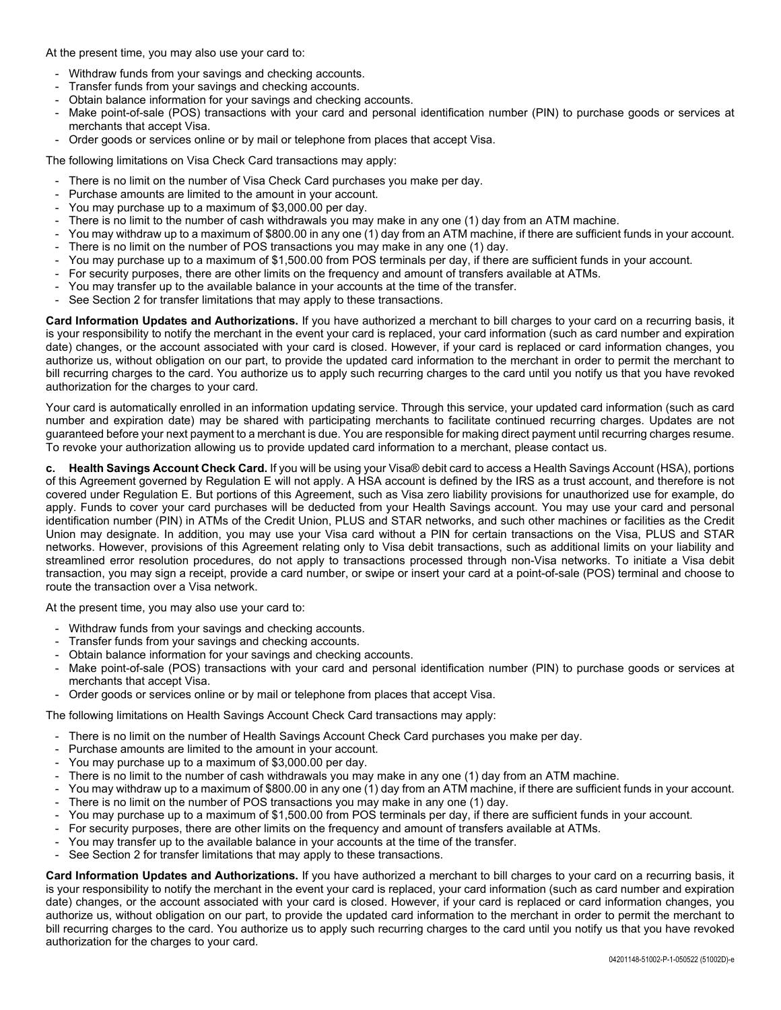At the present time, you may also use your card to:

- Withdraw funds from your savings and checking accounts.
- Transfer funds from your savings and checking accounts.
- Obtain balance information for your savings and checking accounts.
- Make point-of-sale (POS) transactions with your card and personal identification number (PIN) to purchase goods or services at merchants that accept Visa.
- Order goods or services online or by mail or telephone from places that accept Visa.

The following limitations on Visa Check Card transactions may apply:

- There is no limit on the number of Visa Check Card purchases you make per day.
- Purchase amounts are limited to the amount in your account.
- You may purchase up to a maximum of \$3,000.00 per day.
- There is no limit to the number of cash withdrawals you may make in any one (1) day from an ATM machine.
- You may withdraw up to a maximum of \$800.00 in any one (1) day from an ATM machine, if there are sufficient funds in your account.
- There is no limit on the number of POS transactions you may make in any one (1) day.
- You may purchase up to a maximum of \$1,500.00 from POS terminals per day, if there are sufficient funds in your account.
- For security purposes, there are other limits on the frequency and amount of transfers available at ATMs.
- You may transfer up to the available balance in your accounts at the time of the transfer.
- See Section 2 for transfer limitations that may apply to these transactions.

**Card Information Updates and Authorizations.** If you have authorized a merchant to bill charges to your card on a recurring basis, it is your responsibility to notify the merchant in the event your card is replaced, your card information (such as card number and expiration date) changes, or the account associated with your card is closed. However, if your card is replaced or card information changes, you authorize us, without obligation on our part, to provide the updated card information to the merchant in order to permit the merchant to bill recurring charges to the card. You authorize us to apply such recurring charges to the card until you notify us that you have revoked authorization for the charges to your card.

Your card is automatically enrolled in an information updating service. Through this service, your updated card information (such as card number and expiration date) may be shared with participating merchants to facilitate continued recurring charges. Updates are not guaranteed before your next payment to a merchant is due. You are responsible for making direct payment until recurring charges resume. To revoke your authorization allowing us to provide updated card information to a merchant, please contact us.

**c. Health Savings Account Check Card.** If you will be using your Visa® debit card to access a Health Savings Account (HSA), portions of this Agreement governed by Regulation E will not apply. A HSA account is defined by the IRS as a trust account, and therefore is not covered under Regulation E. But portions of this Agreement, such as Visa zero liability provisions for unauthorized use for example, do apply. Funds to cover your card purchases will be deducted from your Health Savings account. You may use your card and personal identification number (PIN) in ATMs of the Credit Union, PLUS and STAR networks, and such other machines or facilities as the Credit Union may designate. In addition, you may use your Visa card without a PIN for certain transactions on the Visa, PLUS and STAR networks. However, provisions of this Agreement relating only to Visa debit transactions, such as additional limits on your liability and streamlined error resolution procedures, do not apply to transactions processed through non-Visa networks. To initiate a Visa debit transaction, you may sign a receipt, provide a card number, or swipe or insert your card at a point-of-sale (POS) terminal and choose to route the transaction over a Visa network.

At the present time, you may also use your card to:

- Withdraw funds from your savings and checking accounts.
- Transfer funds from your savings and checking accounts.
- Obtain balance information for your savings and checking accounts.
- Make point-of-sale (POS) transactions with your card and personal identification number (PIN) to purchase goods or services at merchants that accept Visa.
- Order goods or services online or by mail or telephone from places that accept Visa.

The following limitations on Health Savings Account Check Card transactions may apply:

- There is no limit on the number of Health Savings Account Check Card purchases you make per day.
- Purchase amounts are limited to the amount in your account.
- You may purchase up to a maximum of \$3,000.00 per day.
- There is no limit to the number of cash withdrawals you may make in any one (1) day from an ATM machine.
- You may withdraw up to a maximum of \$800.00 in any one (1) day from an ATM machine, if there are sufficient funds in your account.
- There is no limit on the number of POS transactions you may make in any one (1) day.
- You may purchase up to a maximum of \$1,500.00 from POS terminals per day, if there are sufficient funds in your account.
- For security purposes, there are other limits on the frequency and amount of transfers available at ATMs.
- You may transfer up to the available balance in your accounts at the time of the transfer.
- See Section 2 for transfer limitations that may apply to these transactions.

**Card Information Updates and Authorizations.** If you have authorized a merchant to bill charges to your card on a recurring basis, it is your responsibility to notify the merchant in the event your card is replaced, your card information (such as card number and expiration date) changes, or the account associated with your card is closed. However, if your card is replaced or card information changes, you authorize us, without obligation on our part, to provide the updated card information to the merchant in order to permit the merchant to bill recurring charges to the card. You authorize us to apply such recurring charges to the card until you notify us that you have revoked authorization for the charges to your card.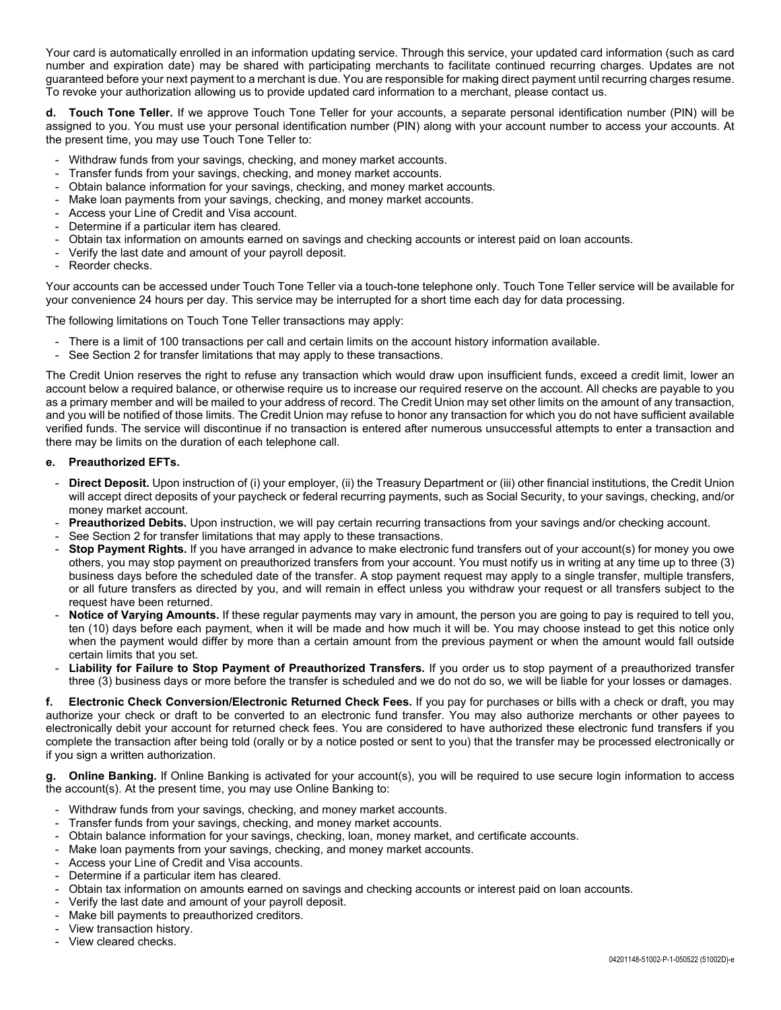Your card is automatically enrolled in an information updating service. Through this service, your updated card information (such as card number and expiration date) may be shared with participating merchants to facilitate continued recurring charges. Updates are not guaranteed before your next payment to a merchant is due. You are responsible for making direct payment until recurring charges resume. To revoke your authorization allowing us to provide updated card information to a merchant, please contact us.

**d. Touch Tone Teller.** If we approve Touch Tone Teller for your accounts, a separate personal identification number (PIN) will be assigned to you. You must use your personal identification number (PIN) along with your account number to access your accounts. At the present time, you may use Touch Tone Teller to:

- Withdraw funds from your savings, checking, and money market accounts.
- Transfer funds from your savings, checking, and money market accounts.
- Obtain balance information for your savings, checking, and money market accounts.
- Make loan payments from your savings, checking, and money market accounts.
- Access your Line of Credit and Visa account.
- Determine if a particular item has cleared.
- Obtain tax information on amounts earned on savings and checking accounts or interest paid on loan accounts.
- Verify the last date and amount of your payroll deposit.
- Reorder checks.

Your accounts can be accessed under Touch Tone Teller via a touch-tone telephone only. Touch Tone Teller service will be available for your convenience 24 hours per day. This service may be interrupted for a short time each day for data processing.

The following limitations on Touch Tone Teller transactions may apply:

- There is a limit of 100 transactions per call and certain limits on the account history information available.
- See Section 2 for transfer limitations that may apply to these transactions.

The Credit Union reserves the right to refuse any transaction which would draw upon insufficient funds, exceed a credit limit, lower an account below a required balance, or otherwise require us to increase our required reserve on the account. All checks are payable to you as a primary member and will be mailed to your address of record. The Credit Union may set other limits on the amount of any transaction, and you will be notified of those limits. The Credit Union may refuse to honor any transaction for which you do not have sufficient available verified funds. The service will discontinue if no transaction is entered after numerous unsuccessful attempts to enter a transaction and there may be limits on the duration of each telephone call.

### **e. Preauthorized EFTs.**

- **Direct Deposit.** Upon instruction of (i) your employer, (ii) the Treasury Department or (iii) other financial institutions, the Credit Union will accept direct deposits of your paycheck or federal recurring payments, such as Social Security, to your savings, checking, and/or money market account.
- Preauthorized Debits. Upon instruction, we will pay certain recurring transactions from your savings and/or checking account.
- See Section 2 for transfer limitations that may apply to these transactions.
- **Stop Payment Rights.** If you have arranged in advance to make electronic fund transfers out of your account(s) for money you owe others, you may stop payment on preauthorized transfers from your account. You must notify us in writing at any time up to three (3) business days before the scheduled date of the transfer. A stop payment request may apply to a single transfer, multiple transfers, or all future transfers as directed by you, and will remain in effect unless you withdraw your request or all transfers subject to the request have been returned.
- Notice of Varying Amounts. If these regular payments may vary in amount, the person you are going to pay is required to tell you, ten (10) days before each payment, when it will be made and how much it will be. You may choose instead to get this notice only when the payment would differ by more than a certain amount from the previous payment or when the amount would fall outside certain limits that you set.
- **Liability for Failure to Stop Payment of Preauthorized Transfers.** If you order us to stop payment of a preauthorized transfer three (3) business days or more before the transfer is scheduled and we do not do so, we will be liable for your losses or damages.

**f. Electronic Check Conversion/Electronic Returned Check Fees.** If you pay for purchases or bills with a check or draft, you may authorize your check or draft to be converted to an electronic fund transfer. You may also authorize merchants or other payees to electronically debit your account for returned check fees. You are considered to have authorized these electronic fund transfers if you complete the transaction after being told (orally or by a notice posted or sent to you) that the transfer may be processed electronically or if you sign a written authorization.

**g. Online Banking.** If Online Banking is activated for your account(s), you will be required to use secure login information to access the account(s). At the present time, you may use Online Banking to:

- Withdraw funds from your savings, checking, and money market accounts.
- Transfer funds from your savings, checking, and money market accounts.
- Obtain balance information for your savings, checking, loan, money market, and certificate accounts.
- Make loan payments from your savings, checking, and money market accounts.
- Access your Line of Credit and Visa accounts.
- Determine if a particular item has cleared.
- Obtain tax information on amounts earned on savings and checking accounts or interest paid on loan accounts.
- Verify the last date and amount of your payroll deposit.
- Make bill payments to preauthorized creditors.
- View transaction history.
	- View cleared checks.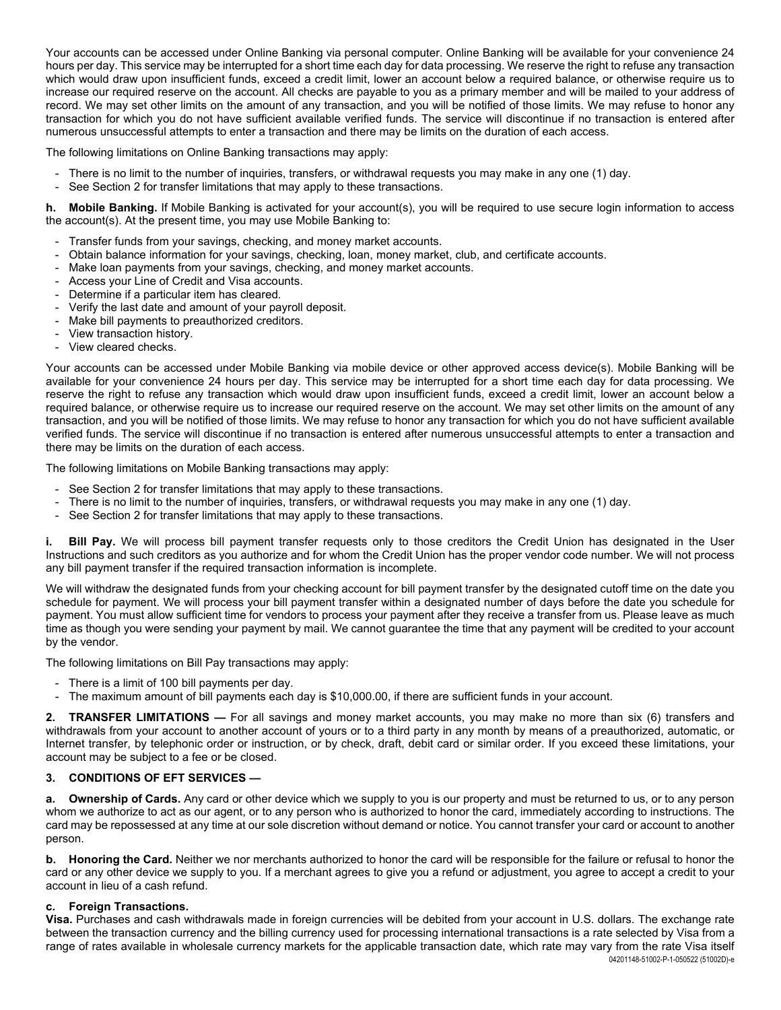Your accounts can be accessed under Online Banking via personal computer. Online Banking will be available for your convenience 24 hours per day. This service may be interrupted for a short time each day for data processing. We reserve the right to refuse any transaction which would draw upon insufficient funds, exceed a credit limit, lower an account below a required balance, or otherwise require us to increase our required reserve on the account. All checks are payable to you as a primary member and will be mailed to your address of record. We may set other limits on the amount of any transaction, and you will be notified of those limits. We may refuse to honor any transaction for which you do not have sufficient available verified funds. The service will discontinue if no transaction is entered after numerous unsuccessful attempts to enter a transaction and there may be limits on the duration of each access.

The following limitations on Online Banking transactions may apply:

- There is no limit to the number of inquiries, transfers, or withdrawal requests you may make in any one (1) day.
- See Section 2 for transfer limitations that may apply to these transactions.

**h. Mobile Banking.** If Mobile Banking is activated for your account(s), you will be required to use secure login information to access the account(s). At the present time, you may use Mobile Banking to:

- Transfer funds from your savings, checking, and money market accounts.
- Obtain balance information for your savings, checking, loan, money market, club, and certificate accounts.
- Make loan payments from your savings, checking, and money market accounts.
- Access your Line of Credit and Visa accounts.
- Determine if a particular item has cleared.
- Verify the last date and amount of your payroll deposit.
- Make bill payments to preauthorized creditors.
- View transaction history.
- View cleared checks.

Your accounts can be accessed under Mobile Banking via mobile device or other approved access device(s). Mobile Banking will be available for your convenience 24 hours per day. This service may be interrupted for a short time each day for data processing. We reserve the right to refuse any transaction which would draw upon insufficient funds, exceed a credit limit, lower an account below a required balance, or otherwise require us to increase our required reserve on the account. We may set other limits on the amount of any transaction, and you will be notified of those limits. We may refuse to honor any transaction for which you do not have sufficient available verified funds. The service will discontinue if no transaction is entered after numerous unsuccessful attempts to enter a transaction and there may be limits on the duration of each access.

The following limitations on Mobile Banking transactions may apply:

- See Section 2 for transfer limitations that may apply to these transactions.
- There is no limit to the number of inquiries, transfers, or withdrawal requests you may make in any one (1) day.
- See Section 2 for transfer limitations that may apply to these transactions.

**i.** Bill Pay. We will process bill payment transfer requests only to those creditors the Credit Union has designated in the User Instructions and such creditors as you authorize and for whom the Credit Union has the proper vendor code number. We will not process any bill payment transfer if the required transaction information is incomplete.

We will withdraw the designated funds from your checking account for bill payment transfer by the designated cutoff time on the date you schedule for payment. We will process your bill payment transfer within a designated number of days before the date you schedule for payment. You must allow sufficient time for vendors to process your payment after they receive a transfer from us. Please leave as much time as though you were sending your payment by mail. We cannot guarantee the time that any payment will be credited to your account by the vendor.

The following limitations on Bill Pay transactions may apply:

- There is a limit of 100 bill payments per day.
- The maximum amount of bill payments each day is \$10,000.00, if there are sufficient funds in your account.

**2. TRANSFER LIMITATIONS —** For all savings and money market accounts, you may make no more than six (6) transfers and withdrawals from your account to another account of yours or to a third party in any month by means of a preauthorized, automatic, or Internet transfer, by telephonic order or instruction, or by check, draft, debit card or similar order. If you exceed these limitations, your account may be subject to a fee or be closed.

#### **3. CONDITIONS OF EFT SERVICES —**

**a.** Ownership of Cards. Any card or other device which we supply to you is our property and must be returned to us, or to any person whom we authorize to act as our agent, or to any person who is authorized to honor the card, immediately according to instructions. The card may be repossessed at any time at our sole discretion without demand or notice. You cannot transfer your card or account to another person.

**b. Honoring the Card.** Neither we nor merchants authorized to honor the card will be responsible for the failure or refusal to honor the card or any other device we supply to you. If a merchant agrees to give you a refund or adjustment, you agree to accept a credit to your account in lieu of a cash refund.

#### **c. Foreign Transactions.**

04201148-51002-P-1-050522 (51002D)-e **Visa.** Purchases and cash withdrawals made in foreign currencies will be debited from your account in U.S. dollars. The exchange rate between the transaction currency and the billing currency used for processing international transactions is a rate selected by Visa from a range of rates available in wholesale currency markets for the applicable transaction date, which rate may vary from the rate Visa itself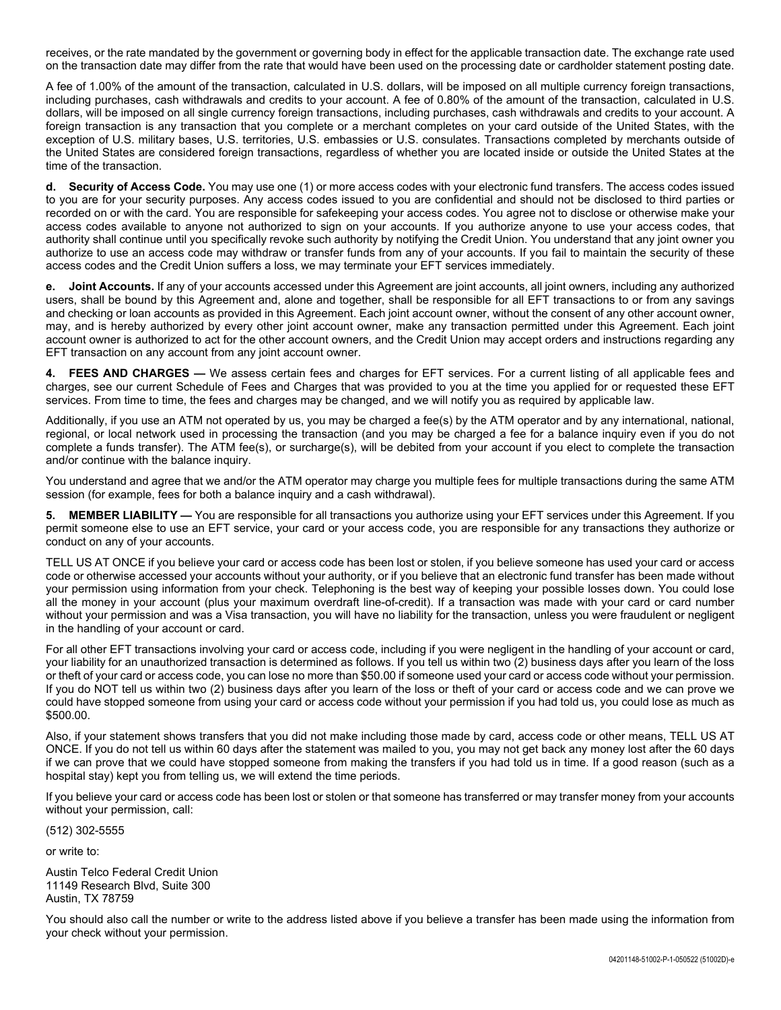receives, or the rate mandated by the government or governing body in effect for the applicable transaction date. The exchange rate used on the transaction date may differ from the rate that would have been used on the processing date or cardholder statement posting date.

A fee of 1.00% of the amount of the transaction, calculated in U.S. dollars, will be imposed on all multiple currency foreign transactions, including purchases, cash withdrawals and credits to your account. A fee of 0.80% of the amount of the transaction, calculated in U.S. dollars, will be imposed on all single currency foreign transactions, including purchases, cash withdrawals and credits to your account. A foreign transaction is any transaction that you complete or a merchant completes on your card outside of the United States, with the exception of U.S. military bases, U.S. territories, U.S. embassies or U.S. consulates. Transactions completed by merchants outside of the United States are considered foreign transactions, regardless of whether you are located inside or outside the United States at the time of the transaction.

**d. Security of Access Code.** You may use one (1) or more access codes with your electronic fund transfers. The access codes issued to you are for your security purposes. Any access codes issued to you are confidential and should not be disclosed to third parties or recorded on or with the card. You are responsible for safekeeping your access codes. You agree not to disclose or otherwise make your access codes available to anyone not authorized to sign on your accounts. If you authorize anyone to use your access codes, that authority shall continue until you specifically revoke such authority by notifying the Credit Union. You understand that any joint owner you authorize to use an access code may withdraw or transfer funds from any of your accounts. If you fail to maintain the security of these access codes and the Credit Union suffers a loss, we may terminate your EFT services immediately.

**e. Joint Accounts.** If any of your accounts accessed under this Agreement are joint accounts, all joint owners, including any authorized users, shall be bound by this Agreement and, alone and together, shall be responsible for all EFT transactions to or from any savings and checking or loan accounts as provided in this Agreement. Each joint account owner, without the consent of any other account owner, may, and is hereby authorized by every other joint account owner, make any transaction permitted under this Agreement. Each joint account owner is authorized to act for the other account owners, and the Credit Union may accept orders and instructions regarding any EFT transaction on any account from any joint account owner.

**FEES AND CHARGES —** We assess certain fees and charges for EFT services. For a current listing of all applicable fees and charges, see our current Schedule of Fees and Charges that was provided to you at the time you applied for or requested these EFT services. From time to time, the fees and charges may be changed, and we will notify you as required by applicable law.

Additionally, if you use an ATM not operated by us, you may be charged a fee(s) by the ATM operator and by any international, national, regional, or local network used in processing the transaction (and you may be charged a fee for a balance inquiry even if you do not complete a funds transfer). The ATM fee(s), or surcharge(s), will be debited from your account if you elect to complete the transaction and/or continue with the balance inquiry.

You understand and agree that we and/or the ATM operator may charge you multiple fees for multiple transactions during the same ATM session (for example, fees for both a balance inquiry and a cash withdrawal).

**MEMBER LIABILITY —** You are responsible for all transactions you authorize using your EFT services under this Agreement. If you permit someone else to use an EFT service, your card or your access code, you are responsible for any transactions they authorize or conduct on any of your accounts.

TELL US AT ONCE if you believe your card or access code has been lost or stolen, if you believe someone has used your card or access code or otherwise accessed your accounts without your authority, or if you believe that an electronic fund transfer has been made without your permission using information from your check. Telephoning is the best way of keeping your possible losses down. You could lose all the money in your account (plus your maximum overdraft line-of-credit). If a transaction was made with your card or card number without your permission and was a Visa transaction, you will have no liability for the transaction, unless you were fraudulent or negligent in the handling of your account or card.

For all other EFT transactions involving your card or access code, including if you were negligent in the handling of your account or card, your liability for an unauthorized transaction is determined as follows. If you tell us within two (2) business days after you learn of the loss or theft of your card or access code, you can lose no more than \$50.00 if someone used your card or access code without your permission. If you do NOT tell us within two (2) business days after you learn of the loss or theft of your card or access code and we can prove we could have stopped someone from using your card or access code without your permission if you had told us, you could lose as much as \$500.00.

Also, if your statement shows transfers that you did not make including those made by card, access code or other means, TELL US AT ONCE. If you do not tell us within 60 days after the statement was mailed to you, you may not get back any money lost after the 60 days if we can prove that we could have stopped someone from making the transfers if you had told us in time. If a good reason (such as a hospital stay) kept you from telling us, we will extend the time periods.

If you believe your card or access code has been lost or stolen or that someone has transferred or may transfer money from your accounts without your permission, call:

(512) 302-5555

or write to:

Austin Telco Federal Credit Union 11149 Research Blvd, Suite 300 Austin, TX 78759

You should also call the number or write to the address listed above if you believe a transfer has been made using the information from your check without your permission.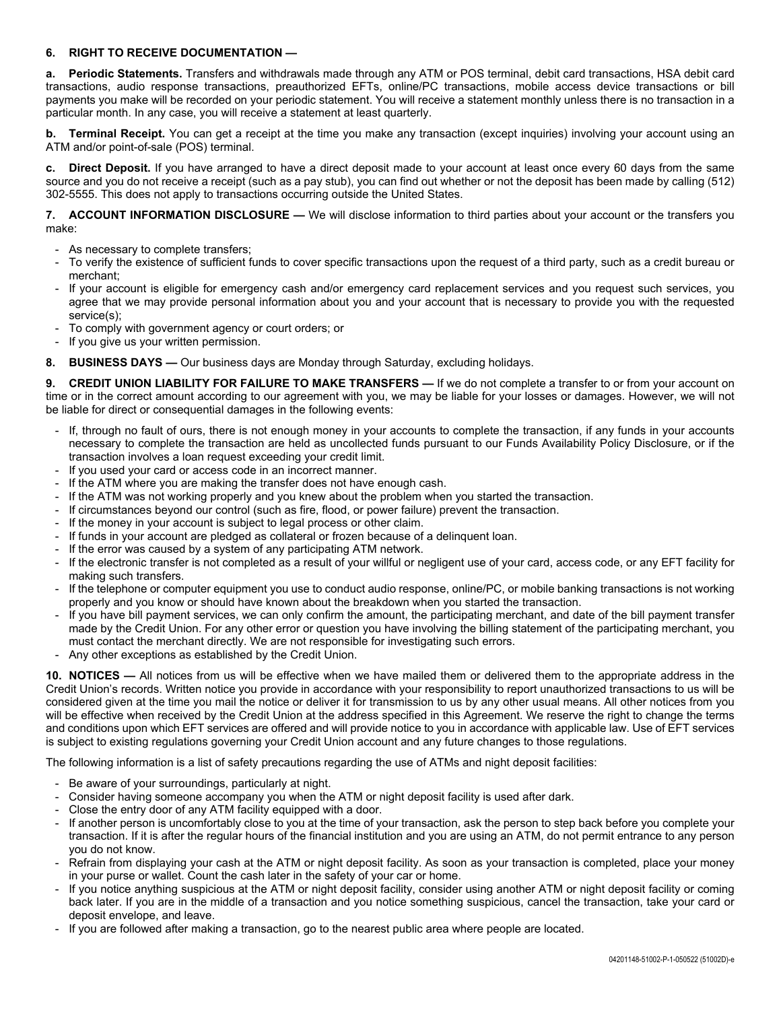## **6. RIGHT TO RECEIVE DOCUMENTATION —**

**a. Periodic Statements.** Transfers and withdrawals made through any ATM or POS terminal, debit card transactions, HSA debit card transactions, audio response transactions, preauthorized EFTs, online/PC transactions, mobile access device transactions or bill payments you make will be recorded on your periodic statement. You will receive a statement monthly unless there is no transaction in a particular month. In any case, you will receive a statement at least quarterly.

**b. Terminal Receipt.** You can get a receipt at the time you make any transaction (except inquiries) involving your account using an ATM and/or point-of-sale (POS) terminal.

**c. Direct Deposit.** If you have arranged to have a direct deposit made to your account at least once every 60 days from the same source and you do not receive a receipt (such as a pay stub), you can find out whether or not the deposit has been made by calling (512) 302-5555. This does not apply to transactions occurring outside the United States.

**7. ACCOUNT INFORMATION DISCLOSURE —** We will disclose information to third parties about your account or the transfers you make:

- As necessary to complete transfers;
- To verify the existence of sufficient funds to cover specific transactions upon the request of a third party, such as a credit bureau or merchant;
- If your account is eligible for emergency cash and/or emergency card replacement services and you request such services, you agree that we may provide personal information about you and your account that is necessary to provide you with the requested service(s);
- To comply with government agency or court orders; or
- If you give us your written permission.
- **8. BUSINESS DAYS —** Our business days are Monday through Saturday, excluding holidays.

**9. CREDIT UNION LIABILITY FOR FAILURE TO MAKE TRANSFERS —** If we do not complete a transfer to or from your account on time or in the correct amount according to our agreement with you, we may be liable for your losses or damages. However, we will not be liable for direct or consequential damages in the following events:

- If, through no fault of ours, there is not enough money in your accounts to complete the transaction, if any funds in your accounts necessary to complete the transaction are held as uncollected funds pursuant to our Funds Availability Policy Disclosure, or if the transaction involves a loan request exceeding your credit limit.
- If you used your card or access code in an incorrect manner.
- If the ATM where you are making the transfer does not have enough cash.
- If the ATM was not working properly and you knew about the problem when you started the transaction.
- If circumstances beyond our control (such as fire, flood, or power failure) prevent the transaction.
- If the money in your account is subject to legal process or other claim.
- If funds in your account are pledged as collateral or frozen because of a delinquent loan.
- If the error was caused by a system of any participating ATM network.
- If the electronic transfer is not completed as a result of your willful or negligent use of your card, access code, or any EFT facility for making such transfers.
- If the telephone or computer equipment you use to conduct audio response, online/PC, or mobile banking transactions is not working properly and you know or should have known about the breakdown when you started the transaction.
- If you have bill payment services, we can only confirm the amount, the participating merchant, and date of the bill payment transfer made by the Credit Union. For any other error or question you have involving the billing statement of the participating merchant, you must contact the merchant directly. We are not responsible for investigating such errors.
- Any other exceptions as established by the Credit Union.

**10. NOTICES —** All notices from us will be effective when we have mailed them or delivered them to the appropriate address in the Credit Union's records. Written notice you provide in accordance with your responsibility to report unauthorized transactions to us will be considered given at the time you mail the notice or deliver it for transmission to us by any other usual means. All other notices from you will be effective when received by the Credit Union at the address specified in this Agreement. We reserve the right to change the terms and conditions upon which EFT services are offered and will provide notice to you in accordance with applicable law. Use of EFT services is subject to existing regulations governing your Credit Union account and any future changes to those regulations.

The following information is a list of safety precautions regarding the use of ATMs and night deposit facilities:

- Be aware of your surroundings, particularly at night.
- Consider having someone accompany you when the ATM or night deposit facility is used after dark.
- Close the entry door of any ATM facility equipped with a door.
- If another person is uncomfortably close to you at the time of your transaction, ask the person to step back before you complete your transaction. If it is after the regular hours of the financial institution and you are using an ATM, do not permit entrance to any person you do not know.
- Refrain from displaying your cash at the ATM or night deposit facility. As soon as your transaction is completed, place your money in your purse or wallet. Count the cash later in the safety of your car or home.
- If you notice anything suspicious at the ATM or night deposit facility, consider using another ATM or night deposit facility or coming back later. If you are in the middle of a transaction and you notice something suspicious, cancel the transaction, take your card or deposit envelope, and leave.
- If you are followed after making a transaction, go to the nearest public area where people are located.